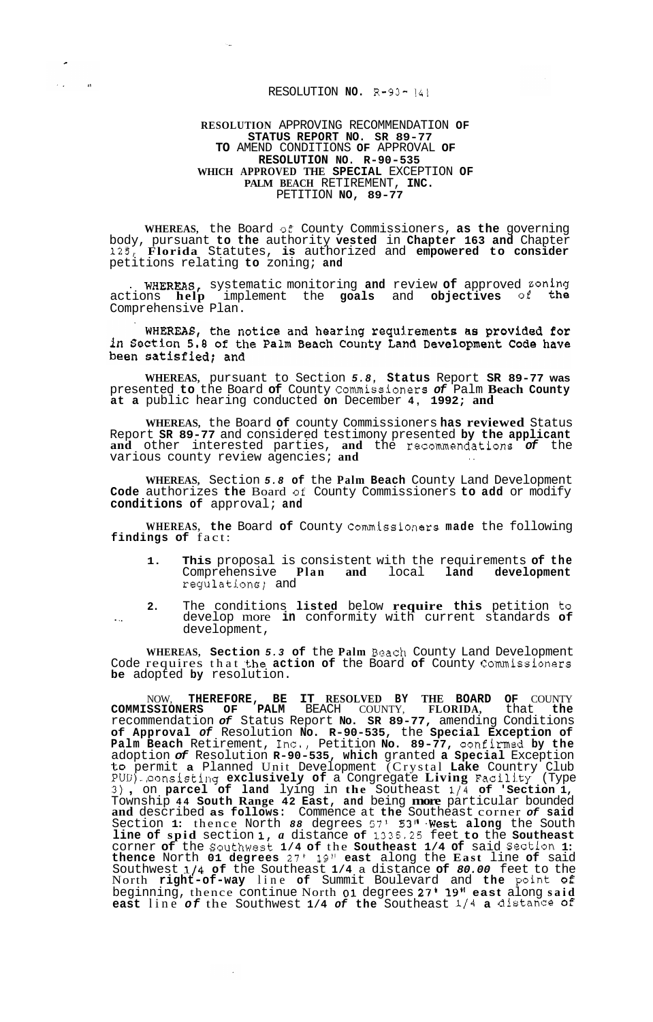## RESOLUTION **NO. R-93-** *<sup>141</sup>*

 $\overline{a}$ 

n

 $\sim$  .

## **RESOLUTION** APPROVING RECOMMENDATION **OF STATUS REPORT NO. SR 89-77 TO** AMEND CONDITIONS **OF** APPROVAL **OF RESOLUTION NO. R-90-535 WHICH APPROVED THE SPECIAL** EXCEPTION **OF PALM BEACH** RETIREMENT, **INC.**  PETITION **NO, 89-77**

**WHEREAS,** the Board **of'** County Commissioners, **as the** governing body, pursuant **to the** authority **vested** in **Chapter 163 and** Chapter **125, Florida** Statutes, **is** authorized and **empowered to consider**  petitions relating **to** zoning; **and** 

**WHEREAS,** systematic monitoring and review of approved zoning actions **help** implement the **goals** and **objectives of** the Comprehensive Plan.

WHEREAS, the notice and hearing requirements as provided for<br>in Section 5.8 of the Palm Beach County Land Development Code have been satisfied; and

**WHEREAS,** pursuant to Section *5.8,* **Status** Report **SR 89-77 was**  presented **to** the Board **of** County Commissioners *of* Palm **Beach County at a** public hearing conducted **on** December **4, 1992; and** 

**WHEREAS,** the Board **of** county Commissioners **has reviewed** Status Report **SR 89-77** and considered testimony presented **by the applicant and** other interested parties, **and** the **recommendations** *of* the various county review agencies; **and** ..

**WHEREAS,** Section *5.8* **of** the **Palm Beach** County Land Development **Code** authorizes **the** Board *o€* County Commissioners **to add** or modify **conditions of** approval; **and** 

**WHEREAS, the** Board **of** County Commissioners **made** the following **findings of** fact:

- **1. This** proposal is consistent with the requirements **of the**  Comprehensive **Plan and** local **land development**  regulations; and
- **2.** The conditions **listed** below **require this** petition **to** . .\_ develop more **in** conformity with current standards **of**  development,

**WHEREAS, Section** *5.3* **of** the **Palm** Beach County Land Development Code requires that **the action of** the Board **of** County Commissioners **be** adopted **by** resolution.

NOW, **THEREFORE, BE IT RESOLVED BY THE BOARD OF** COUNTY **COMMISSIONERS OF PALM** BEACH COUNTY, **FLORIDA,** that **the**  recommendation *of* Status Report **No. SR 89-77,** amending Conditions **of Approval** *of* Resolution **No. R-90-535,** the **Special Exception of Palm Beach** Retirement, **Inc,,** Petition **No. 89-77,** confirmed **by the**  adoption *of* Resolution **R-90-535, which** granted **a Special** Exception **to** permit **a** Planned Unit Development (Crystal **Lake** Country Club PUD)..,consisting **exclusively of** a Congregate **Living** Facili.ty (Type **3)** , on **parcel of land** lying in **the** Southeast **1/4 of 'Section 1,**  Township **44 South Range 42 East, and** being **more** particular bounded **and** described **as follows:** Commence at **the** Southeast corner *of* **said**  Section 1: thence North 88 degrees 57' 53" West along the South **line of spid** section **1,** *a* distance **of 1335.25** feet **to** the **Southeast**  corner **of** the Southwest **1/4 of** the **Southeast 1/4 of** said Section **1: thence** North **01 degrees 27' 19" east** along the **East** line **of** said Southwest **l/4 of** the Southeast **1/4** a distance **of** *80.00* feet to the North **right-of-way** line **of** Summit Boulevard and **the** point *of*  beginning, thence continue North **01** degrees **27' 19Il east** along **said east** line *of* the Southwest **1/4** *of* **the** Southeast **1/4 a distance** *of*